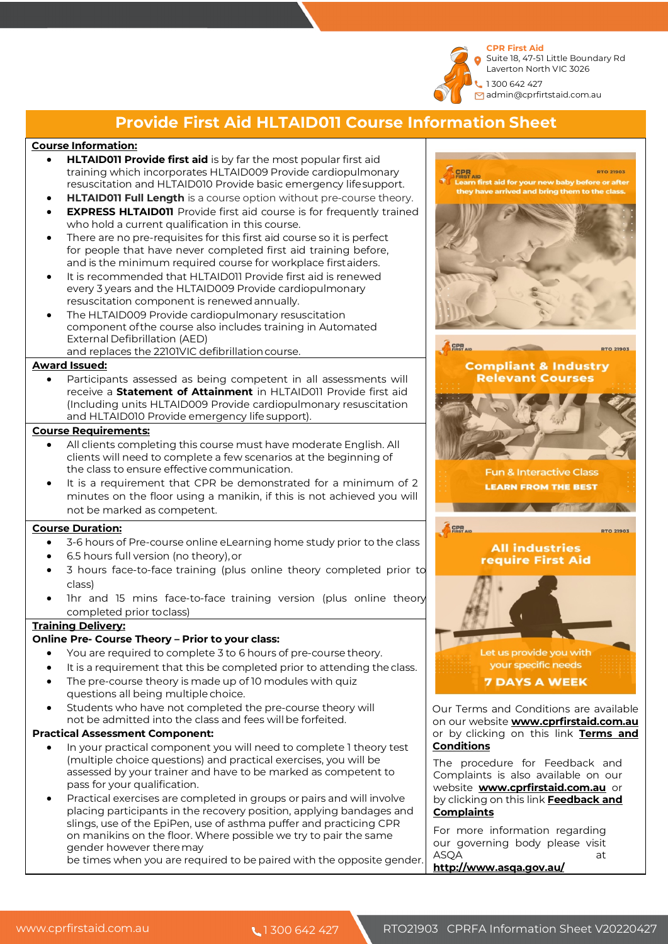**CPR First Aid**  Suite 18, 47-51 Little Boundary Rd Laverton North VIC 3026

1 300 642 427 admin@cprfirtstaid.com.au

## **Provide First Aid HLTAID011 Course Information Sheet**

#### **Course Information:**

- **HLTAID011 Provide first aid** is by far the most popular first aid training which incorporates HLTAID009 Provide cardiopulmonary resuscitation and HLTAID010 Provide basic emergency lifesupport.
- **HLTAID011 Full Length** is a course option without pre-course theory.
- **EXPRESS HLTAID011** Provide first aid course is for frequently trained who hold a current qualification in this course.
- There are no pre-requisites for this first aid course so it is perfect for people that have never completed first aid training before, and is the minimum required course for workplace firstaiders.
- It is recommended that HLTAID011 Provide first aid is renewed every 3 years and the HLTAID009 Provide cardiopulmonary resuscitation component is renewed annually.
- The HLTAID009 Provide cardiopulmonary resuscitation component ofthe course also includes training in Automated External Defibrillation (AED) and replaces the 22101VIC defibrillationcourse.

#### **Award Issued:**

Participants assessed as being competent in all assessments will receive a **Statement of Attainment** in HLTAID011 Provide first aid (Including units HLTAID009 Provide cardiopulmonary resuscitation and HLTAID010 Provide emergency life support).

#### **Course Requirements:**

- All clients completing this course must have moderate English. All clients will need to complete a few scenarios at the beginning of the class to ensure effective communication.
- It is a requirement that CPR be demonstrated for a minimum of 2 minutes on the floor using a manikin, if this is not achieved you will not be marked as competent.

#### **Course Duration:**

- 3-6 hours of Pre-course online eLearning home study prior to the class
- 6.5 hours full version (no theory),or
- 3 hours face-to-face training (plus online theory completed prior to class)
- Ihr and 15 mins face-to-face training version (plus online theory completed prior toclass)

#### **Training Delivery:**

#### **Online Pre- Course Theory – Prior to your class:**

- You are required to complete 3 to 6 hours of pre-course theory.
- It is a requirement that this be completed prior to attending the class.
- The pre-course theory is made up of 10 modules with quiz
- questions all being multiple choice. Students who have not completed the pre-course theory will not be admitted into the class and fees will be forfeited.

### **Practical Assessment Component:**

- In your practical component you will need to complete 1 theory test (multiple choice questions) and practical exercises, you will be assessed by your trainer and have to be marked as competent to pass for your qualification.
- Practical exercises are completed in groups or pairs and will involve placing participants in the recovery position, applying bandages and slings, use of the EpiPen, use of asthma puffer and practicing CPR on manikins on the floor. Where possible we try to pair the same gender however theremay

be times when you are required to be paired with the opposite gender.



website **www.cprfirstaid.com.au** or by clicking on this link **Feedback and Complaints**

For more information regarding our governing body please visit ASOA at **http://www.asqa.gov.au/**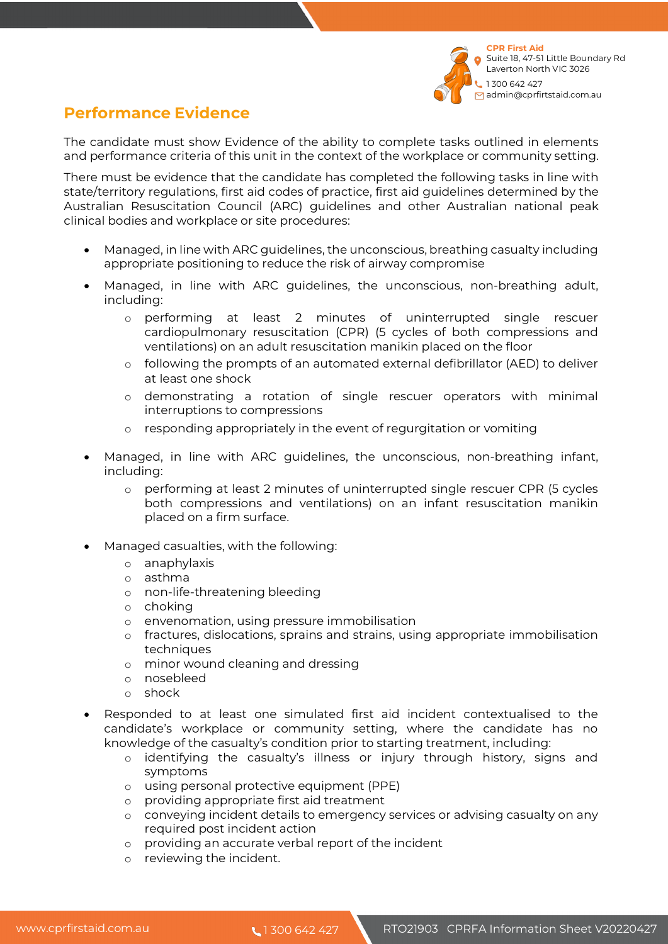

# **Performance Evidence**

The candidate must show Evidence of the ability to complete tasks outlined in elements and performance criteria of this unit in the context of the workplace or community setting.

There must be evidence that the candidate has completed the following tasks in line with state/territory regulations, first aid codes of practice, first aid guidelines determined by the Australian Resuscitation Council (ARC) guidelines and other Australian national peak clinical bodies and workplace or site procedures:

- Managed, in line with ARC guidelines, the unconscious, breathing casualty including appropriate positioning to reduce the risk of airway compromise
- Managed, in line with ARC guidelines, the unconscious, non-breathing adult, including:
	- o performing at least 2 minutes of uninterrupted single rescuer cardiopulmonary resuscitation (CPR) (5 cycles of both compressions and ventilations) on an adult resuscitation manikin placed on the floor
	- o following the prompts of an automated external defibrillator (AED) to deliver at least one shock
	- o demonstrating a rotation of single rescuer operators with minimal interruptions to compressions
	- o responding appropriately in the event of regurgitation or vomiting
- Managed, in line with ARC guidelines, the unconscious, non-breathing infant, including:
	- o performing at least 2 minutes of uninterrupted single rescuer CPR (5 cycles both compressions and ventilations) on an infant resuscitation manikin placed on a firm surface.
- Managed casualties, with the following:
	- o anaphylaxis
	- o asthma
	- o non-life-threatening bleeding
	- o choking
	- o envenomation, using pressure immobilisation
	- o fractures, dislocations, sprains and strains, using appropriate immobilisation techniques
	- o minor wound cleaning and dressing
	- o nosebleed
	- o shock
- Responded to at least one simulated first aid incident contextualised to the candidate's workplace or community setting, where the candidate has no knowledge of the casualty's condition prior to starting treatment, including:
	- o identifying the casualty's illness or injury through history, signs and symptoms
	- o using personal protective equipment (PPE)
	- o providing appropriate first aid treatment
	- o conveying incident details to emergency services or advising casualty on any required post incident action
	- o providing an accurate verbal report of the incident
	- o reviewing the incident.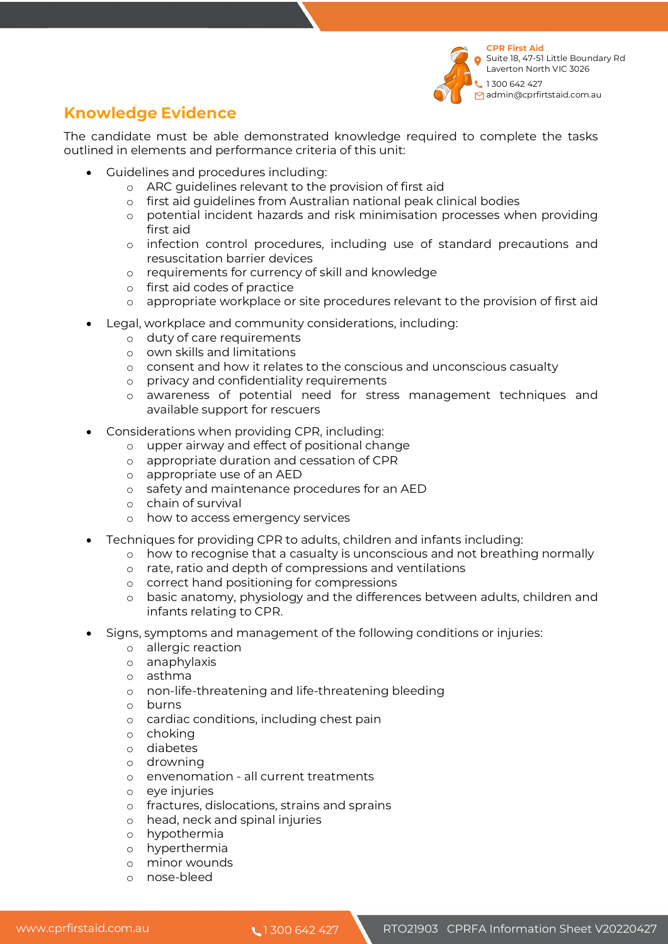

# **Knowledge Evidence**

The candidate must be able demonstrated knowledge required to complete the tasks outlined in elements and performance criteria of this unit:

- Guidelines and procedures including:
	- o ARC guidelines relevant to the provision of first aid
	- o first aid guidelines from Australian national peak clinical bodies
	- o potential incident hazards and risk minimisation processes when providing first aid
	- o infection control procedures, including use of standard precautions and resuscitation barrier devices
	- o requirements for currency of skill and knowledge
	- o first aid codes of practice
	- o appropriate workplace or site procedures relevant to the provision of first aid
- Legal, workplace and community considerations, including:
	- o duty of care requirements
	- o own skills and limitations
	- o consent and how it relates to the conscious and unconscious casualty
	- o privacy and confidentiality requirements
	- o awareness of potential need for stress management techniques and available support for rescuers
- Considerations when providing CPR, including:
	- o upper airway and effect of positional change
	- o appropriate duration and cessation of CPR
	- o appropriate use of an AED
	- o safety and maintenance procedures for an AED
	- o chain of survival
	- o how to access emergency services
- Techniques for providing CPR to adults, children and infants including:
	- o how to recognise that a casualty is unconscious and not breathing normally
	- o rate, ratio and depth of compressions and ventilations
	- o correct hand positioning for compressions
	- o basic anatomy, physiology and the differences between adults, children and infants relating to CPR.
- Signs, symptoms and management of the following conditions or injuries:
	- o allergic reaction
	- o anaphylaxis
	- o asthma
	- o non-life-threatening and life-threatening bleeding
	- o burns
	- o cardiac conditions, including chest pain
	- o choking
	- o diabetes
	- o drowning
	- o envenomation all current treatments
	- o eye injuries
	- o fractures, dislocations, strains and sprains
	- o head, neck and spinal injuries
	- o hypothermia
	- o hyperthermia
	- o minor wounds
	- o nose-bleed